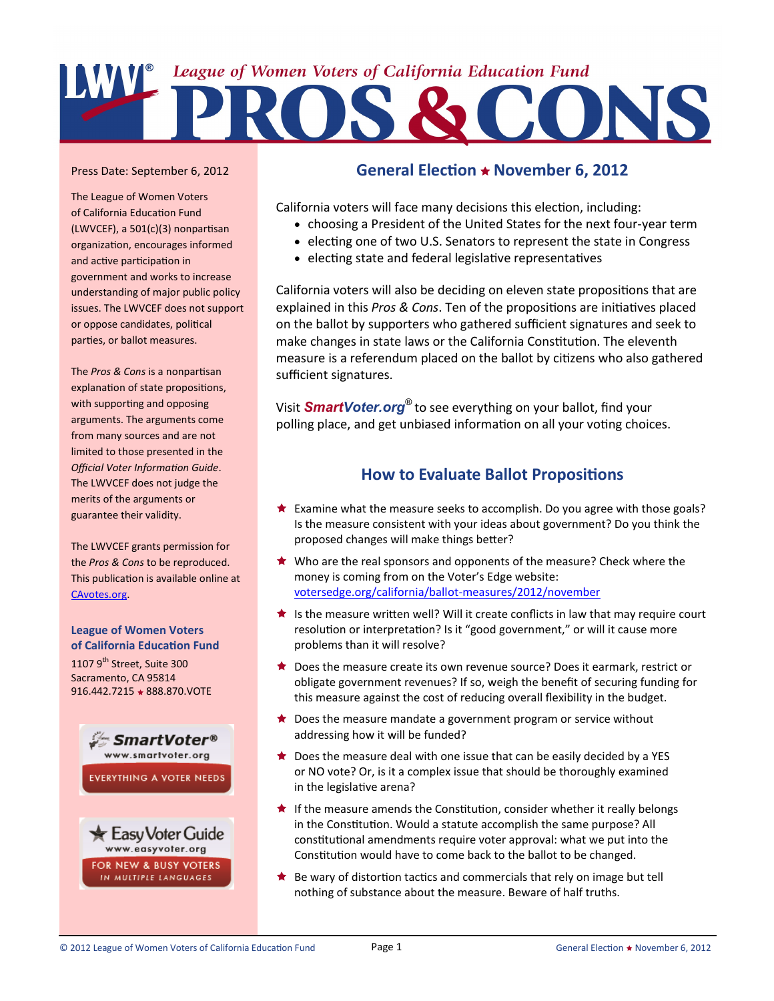

### Press Date: September 6, 2012

The League of Women Voters of California Education Fund (LWVCEF), a 501(c)(3) nonpartisan organization, encourages informed and active participation in government and works to increase understanding of major public policy issues. The LWVCEF does not support or oppose candidates, political parties, or ballot measures.

The *Pros & Cons* is a nonpartisan explanation of state propositions, with supporting and opposing arguments. The arguments come from many sources and are not limited to those presented in the *Official Voter Information Guide*. The LWVCEF does not judge the merits of the arguments or guarantee their validity.

The LWVCEF grants permission for the *Pros & Cons* to be reproduced. This publication is available online at [CAvotes.org.](http://www.CAvotes.org)

**League of Women Voters of California Education Fund** 1107  $9^{th}$  Street, Suite 300 Sacramento, CA 95814 916.442.7215 ★ 888.870.VOTE



FOR NEW & BUSY VOTERS IN MULTIPLE LANGUAGES

# **General Election November 6, 2012**

California voters will face many decisions this election, including:

- choosing a President of the United States for the next four-year term
- electing one of two U.S. Senators to represent the state in Congress
- electing state and federal legislative representatives

California voters will also be deciding on eleven state propositions that are explained in this *Pros & Cons*. Ten of the propositions are initiatives placed on the ballot by supporters who gathered sufficient signatures and seek to make changes in state laws or the California Constitution. The eleventh measure is a referendum placed on the ballot by citizens who also gathered sufficient signatures.

Visit *[SmartVoter.org](http://www.smartvoter.org)®* to see everything on your ballot, find your polling place, and get unbiased information on all your voting choices.

# **How to Evaluate Ballot Propositions**

- Examine what the measure seeks to accomplish. Do you agree with those goals? Is the measure consistent with your ideas about government? Do you think the proposed changes will make things better?
- ★ Who are the real sponsors and opponents of the measure? Check where the money is coming from on the Voter's Edge website: [votersedge.org/california/ballot](http://votersedge.org/california/ballot-measures/2012/november)-measures/2012/november
- Is the measure written well? Will it create conflicts in law that may require court resolution or interpretation? Is it "good government," or will it cause more problems than it will resolve?
- ★ Does the measure create its own revenue source? Does it earmark, restrict or obligate government revenues? If so, weigh the benefit of securing funding for this measure against the cost of reducing overall flexibility in the budget.
- $\bigstar$  Does the measure mandate a government program or service without addressing how it will be funded?
- $\bigstar$  Does the measure deal with one issue that can be easily decided by a YES or NO vote? Or, is it a complex issue that should be thoroughly examined in the legislative arena?
- $\bigstar$  If the measure amends the Constitution, consider whether it really belongs in the Constitution. Would a statute accomplish the same purpose? All constitutional amendments require voter approval: what we put into the Constitution would have to come back to the ballot to be changed.
- $\bigstar$  Be wary of distortion tactics and commercials that rely on image but tell nothing of substance about the measure. Beware of half truths.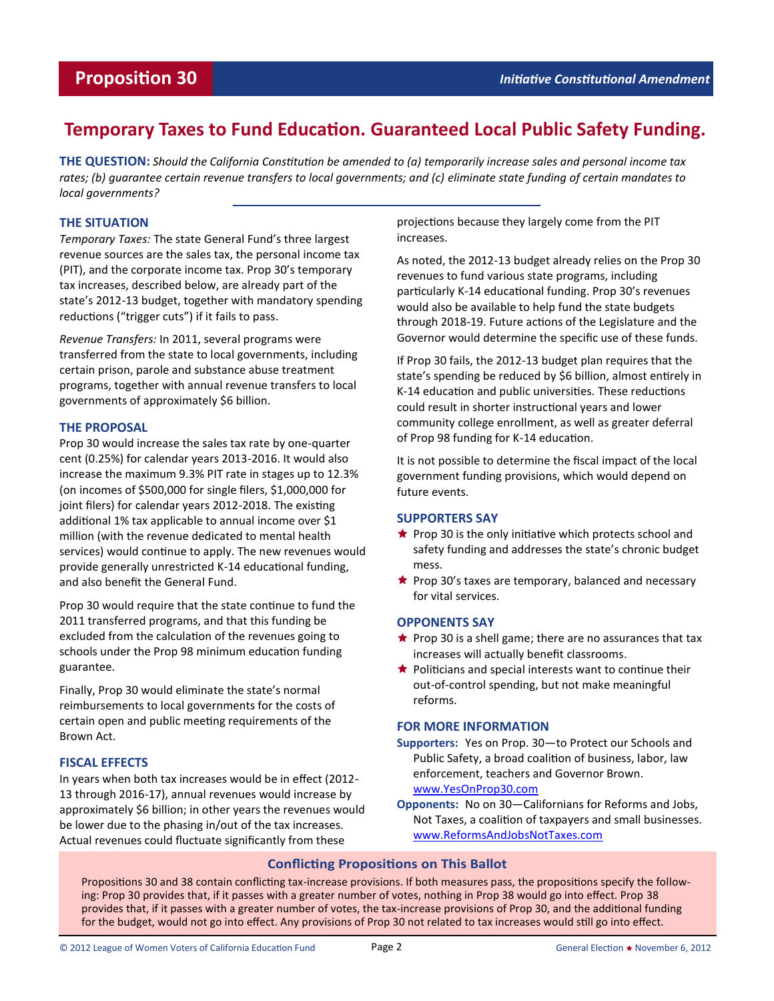# **Temporary Taxes to Fund Education. Guaranteed Local Public Safety Funding.**

**THE QUESTION:** *Should the California Constitution be amended to (a) temporarily increase sales and personal income tax rates; (b) guarantee certain revenue transfers to local governments; and (c) eliminate state funding of certain mandates to local governments?* 

## **THE SITUATION**

*Temporary Taxes:* The state General Fund's three largest revenue sources are the sales tax, the personal income tax (PIT), and the corporate income tax. Prop 30's temporary tax increases, described below, are already part of the state's 2012-13 budget, together with mandatory spending reductions ("trigger cuts") if it fails to pass.

*Revenue Transfers:* In 2011, several programs were transferred from the state to local governments, including certain prison, parole and substance abuse treatment programs, together with annual revenue transfers to local governments of approximately \$6 billion.

### **THE PROPOSAL**

Prop 30 would increase the sales tax rate by one-quarter cent (0.25%) for calendar years 2013-2016. It would also increase the maximum 9.3% PIT rate in stages up to 12.3% (on incomes of \$500,000 for single filers, \$1,000,000 for joint filers) for calendar years 2012-2018. The existing additional 1% tax applicable to annual income over \$1 million (with the revenue dedicated to mental health services) would continue to apply. The new revenues would provide generally unrestricted K-14 educational funding, and also benefit the General Fund.

Prop 30 would require that the state continue to fund the 2011 transferred programs, and that this funding be excluded from the calculation of the revenues going to schools under the Prop 98 minimum education funding guarantee.

Finally, Prop 30 would eliminate the state's normal reimbursements to local governments for the costs of certain open and public meeting requirements of the Brown Act.

### **FISCAL EFFECTS**

In years when both tax increases would be in effect (2012- 13 through 2016-17), annual revenues would increase by approximately \$6 billion; in other years the revenues would be lower due to the phasing in/out of the tax increases. Actual revenues could fluctuate significantly from these

projections because they largely come from the PIT increases.

As noted, the 2012-13 budget already relies on the Prop 30 revenues to fund various state programs, including particularly K-14 educational funding. Prop 30's revenues would also be available to help fund the state budgets through 2018-19. Future actions of the Legislature and the Governor would determine the specific use of these funds.

If Prop 30 fails, the 2012-13 budget plan requires that the state's spending be reduced by \$6 billion, almost entirely in K-14 education and public universities. These reductions could result in shorter instructional years and lower community college enrollment, as well as greater deferral of Prop 98 funding for K-14 education.

It is not possible to determine the fiscal impact of the local government funding provisions, which would depend on future events.

### **SUPPORTERS SAY**

- $\star$  Prop 30 is the only initiative which protects school and safety funding and addresses the state's chronic budget mess.
- $\bigstar$  Prop 30's taxes are temporary, balanced and necessary for vital services.

### **OPPONENTS SAY**

- $\star$  Prop 30 is a shell game; there are no assurances that tax increases will actually benefit classrooms.
- $\bigstar$  Politicians and special interests want to continue their out-of-control spending, but not make meaningful reforms.

### **FOR MORE INFORMATION**

- **Supporters:** Yes on Prop. 30—to Protect our Schools and Public Safety, a broad coalition of business, labor, law enforcement, teachers and Governor Brown. [www.YesOnProp30.com](http://www.yesonprop30.com)
- **Opponents:** No on 30—Californians for Reforms and Jobs, Not Taxes, a coalition of taxpayers and small businesses. [www.ReformsAndJobsNotTaxes.com](http://www.reformsandjobsnottaxes.com)

# **Conflicting Propositions on This Ballot**

Propositions 30 and 38 contain conflicting tax-increase provisions. If both measures pass, the propositions specify the following: Prop 30 provides that, if it passes with a greater number of votes, nothing in Prop 38 would go into effect. Prop 38 provides that, if it passes with a greater number of votes, the tax-increase provisions of Prop 30, and the additional funding for the budget, would not go into effect. Any provisions of Prop 30 not related to tax increases would still go into effect.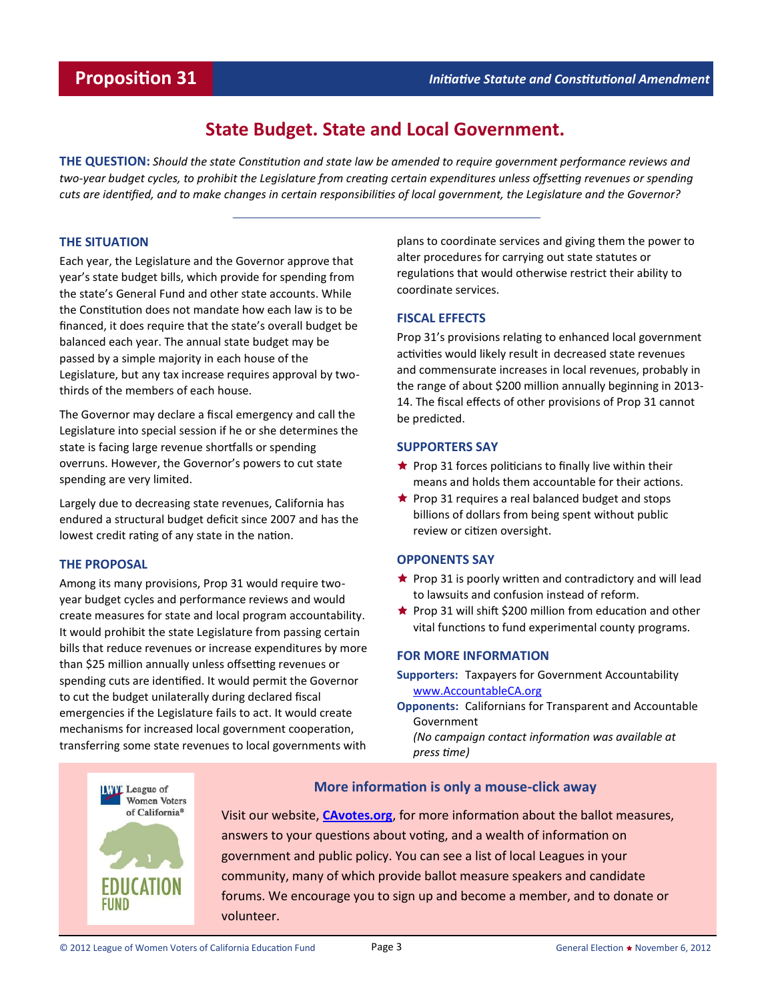# **State Budget. State and Local Government.**

**THE QUESTION:** *Should the state Constitution and state law be amended to require government performance reviews and two-year budget cycles, to prohibit the Legislature from creating certain expenditures unless offsetting revenues or spending cuts are identified, and to make changes in certain responsibilities of local government, the Legislature and the Governor?* 

### **THE SITUATION**

Each year, the Legislature and the Governor approve that year's state budget bills, which provide for spending from the state's General Fund and other state accounts. While the Constitution does not mandate how each law is to be financed, it does require that the state's overall budget be balanced each year. The annual state budget may be passed by a simple majority in each house of the Legislature, but any tax increase requires approval by twothirds of the members of each house.

The Governor may declare a fiscal emergency and call the Legislature into special session if he or she determines the state is facing large revenue shortfalls or spending overruns. However, the Governor's powers to cut state spending are very limited.

Largely due to decreasing state revenues, California has endured a structural budget deficit since 2007 and has the lowest credit rating of any state in the nation.

### **THE PROPOSAL**

Among its many provisions, Prop 31 would require twoyear budget cycles and performance reviews and would create measures for state and local program accountability. It would prohibit the state Legislature from passing certain bills that reduce revenues or increase expenditures by more than \$25 million annually unless offsetting revenues or spending cuts are identified. It would permit the Governor to cut the budget unilaterally during declared fiscal emergencies if the Legislature fails to act. It would create mechanisms for increased local government cooperation, transferring some state revenues to local governments with

plans to coordinate services and giving them the power to alter procedures for carrying out state statutes or regulations that would otherwise restrict their ability to coordinate services.

## **FISCAL EFFECTS**

Prop 31's provisions relating to enhanced local government activities would likely result in decreased state revenues and commensurate increases in local revenues, probably in the range of about \$200 million annually beginning in 2013- 14. The fiscal effects of other provisions of Prop 31 cannot be predicted.

## **SUPPORTERS SAY**

- $\star$  Prop 31 forces politicians to finally live within their means and holds them accountable for their actions.
- $\bigstar$  Prop 31 requires a real balanced budget and stops billions of dollars from being spent without public review or citizen oversight.

### **OPPONENTS SAY**

- $\star$  Prop 31 is poorly written and contradictory and will lead to lawsuits and confusion instead of reform.
- $\star$  Prop 31 will shift \$200 million from education and other vital functions to fund experimental county programs.

# **FOR MORE INFORMATION**

- **Supporters:** Taxpayers for Government Accountability [www.AccountableCA.org](http://www.accountableca.org)
- **Opponents:** Californians for Transparent and Accountable Government *(No campaign contact information was available at*

*press time)*



# **More information is only a mouse-click away**

Visit our website, **[CAvotes.org](http://www.CAvotes.org)**, for more information about the ballot measures, answers to your questions about voting, and a wealth of information on government and public policy. You can see a list of local Leagues in your community, many of which provide ballot measure speakers and candidate forums. We encourage you to sign up and become a member, and to donate or volunteer.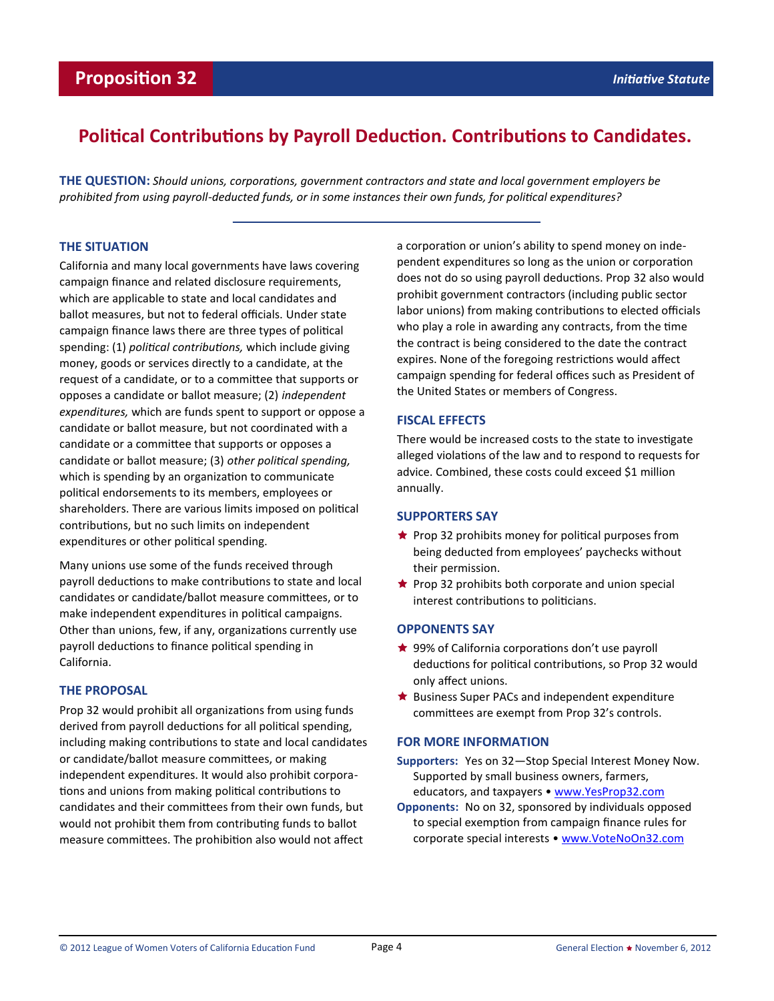# **Political Contributions by Payroll Deduction. Contributions to Candidates.**

**THE QUESTION:** *Should unions, corporations, government contractors and state and local government employers be prohibited from using payroll-deducted funds, or in some instances their own funds, for political expenditures?*

### **THE SITUATION**

California and many local governments have laws covering campaign finance and related disclosure requirements, which are applicable to state and local candidates and ballot measures, but not to federal officials. Under state campaign finance laws there are three types of political spending: (1) *political contributions,* which include giving money, goods or services directly to a candidate, at the request of a candidate, or to a committee that supports or opposes a candidate or ballot measure; (2) *independent expenditures,* which are funds spent to support or oppose a candidate or ballot measure, but not coordinated with a candidate or a committee that supports or opposes a candidate or ballot measure; (3) *other political spending,* which is spending by an organization to communicate political endorsements to its members, employees or shareholders. There are various limits imposed on political contributions, but no such limits on independent expenditures or other political spending.

Many unions use some of the funds received through payroll deductions to make contributions to state and local candidates or candidate/ballot measure committees, or to make independent expenditures in political campaigns. Other than unions, few, if any, organizations currently use payroll deductions to finance political spending in California.

### **THE PROPOSAL**

Prop 32 would prohibit all organizations from using funds derived from payroll deductions for all political spending, including making contributions to state and local candidates or candidate/ballot measure committees, or making independent expenditures. It would also prohibit corporations and unions from making political contributions to candidates and their committees from their own funds, but would not prohibit them from contributing funds to ballot measure committees. The prohibition also would not affect

a corporation or union's ability to spend money on independent expenditures so long as the union or corporation does not do so using payroll deductions. Prop 32 also would prohibit government contractors (including public sector labor unions) from making contributions to elected officials who play a role in awarding any contracts, from the time the contract is being considered to the date the contract expires. None of the foregoing restrictions would affect campaign spending for federal offices such as President of the United States or members of Congress.

# **FISCAL EFFECTS**

There would be increased costs to the state to investigate alleged violations of the law and to respond to requests for advice. Combined, these costs could exceed \$1 million annually.

### **SUPPORTERS SAY**

- $\star$  Prop 32 prohibits money for political purposes from being deducted from employees' paychecks without their permission.
- $\star$  Prop 32 prohibits both corporate and union special interest contributions to politicians.

# **OPPONENTS SAY**

- ★ 99% of California corporations don't use payroll deductions for political contributions, so Prop 32 would only affect unions.
- $\bigstar$  Business Super PACs and independent expenditure committees are exempt from Prop 32's controls.

### **FOR MORE INFORMATION**

- **Supporters:** Yes on 32—Stop Special Interest Money Now. Supported by small business owners, farmers, educators, and taxpayers • [www.YesProp32.com](http://www.yesprop32.com)
- **Opponents:** No on 32, sponsored by individuals opposed to special exemption from campaign finance rules for corporate special interests • [www.VoteNoOn32.com](http://www.votenoon32.com)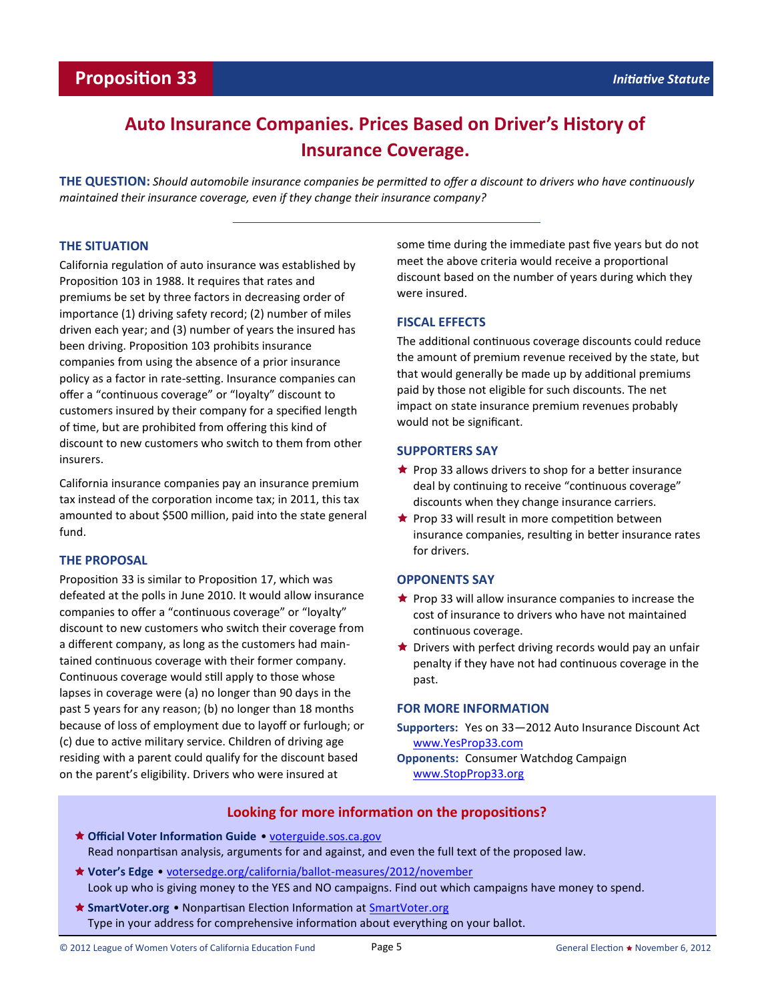# **Auto Insurance Companies. Prices Based on Driver's History of Insurance Coverage.**

**THE QUESTION:** *Should automobile insurance companies be permitted to offer a discount to drivers who have continuously maintained their insurance coverage, even if they change their insurance company?* 

### **THE SITUATION**

California regulation of auto insurance was established by Proposition 103 in 1988. It requires that rates and premiums be set by three factors in decreasing order of importance (1) driving safety record; (2) number of miles driven each year; and (3) number of years the insured has been driving. Proposition 103 prohibits insurance companies from using the absence of a prior insurance policy as a factor in rate-setting. Insurance companies can offer a "continuous coverage" or "loyalty" discount to customers insured by their company for a specified length of time, but are prohibited from offering this kind of discount to new customers who switch to them from other insurers.

California insurance companies pay an insurance premium tax instead of the corporation income tax; in 2011, this tax amounted to about \$500 million, paid into the state general fund.

### **THE PROPOSAL**

Proposition 33 is similar to Proposition 17, which was defeated at the polls in June 2010. It would allow insurance companies to offer a "continuous coverage" or "loyalty" discount to new customers who switch their coverage from a different company, as long as the customers had maintained continuous coverage with their former company. Continuous coverage would still apply to those whose lapses in coverage were (a) no longer than 90 days in the past 5 years for any reason; (b) no longer than 18 months because of loss of employment due to layoff or furlough; or (c) due to active military service. Children of driving age residing with a parent could qualify for the discount based on the parent's eligibility. Drivers who were insured at

some time during the immediate past five years but do not meet the above criteria would receive a proportional discount based on the number of years during which they were insured.

## **FISCAL EFFECTS**

The additional continuous coverage discounts could reduce the amount of premium revenue received by the state, but that would generally be made up by additional premiums paid by those not eligible for such discounts. The net impact on state insurance premium revenues probably would not be significant.

### **SUPPORTERS SAY**

- $\bigstar$  Prop 33 allows drivers to shop for a better insurance deal by continuing to receive "continuous coverage" discounts when they change insurance carriers.
- $\star$  Prop 33 will result in more competition between insurance companies, resulting in better insurance rates for drivers.

### **OPPONENTS SAY**

- $\star$  Prop 33 will allow insurance companies to increase the cost of insurance to drivers who have not maintained continuous coverage.
- $\bigstar$  Drivers with perfect driving records would pay an unfair penalty if they have not had continuous coverage in the past.

### **FOR MORE INFORMATION**

- **Supporters:** Yes on 33—2012 Auto Insurance Discount Act [www.YesProp33.com](http://www.yesprop33.com)
- **Opponents:** Consumer Watchdog Campaign [www.StopProp33.org](http://www.stopprop33.org)

# **Looking for more information on the propositions?**

- **Official Voter Information Guide** [voterguide.sos.ca.gov](http://www.voterguide.sos.ca.gov) Read nonpartisan analysis, arguments for and against, and even the full text of the proposed law.
- **Voter's Edge** [votersedge.org/california/ballot](http://votersedge.org/california/ballot-measures/2012/november)-measures/2012/november Look up who is giving money to the YES and NO campaigns. Find out which campaigns have money to spend.
- **SmartVoter.org** Nonpartisan Election Information at [SmartVoter.org](http://www.smartvoter.org) Type in your address for comprehensive information about everything on your ballot.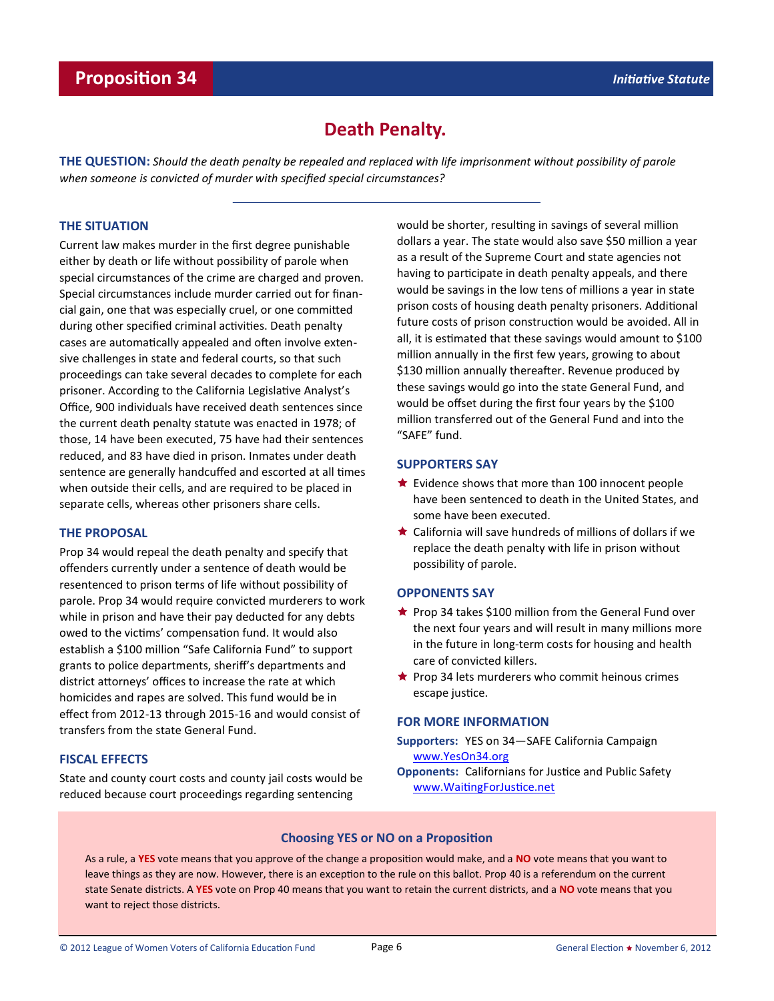# **Death Penalty.**

**THE QUESTION:** *Should the death penalty be repealed and replaced with life imprisonment without possibility of parole when someone is convicted of murder with specified special circumstances?*

### **THE SITUATION**

Current law makes murder in the first degree punishable either by death or life without possibility of parole when special circumstances of the crime are charged and proven. Special circumstances include murder carried out for financial gain, one that was especially cruel, or one committed during other specified criminal activities. Death penalty cases are automatically appealed and often involve extensive challenges in state and federal courts, so that such proceedings can take several decades to complete for each prisoner. According to the California Legislative Analyst's Office, 900 individuals have received death sentences since the current death penalty statute was enacted in 1978; of those, 14 have been executed, 75 have had their sentences reduced, and 83 have died in prison. Inmates under death sentence are generally handcuffed and escorted at all times when outside their cells, and are required to be placed in separate cells, whereas other prisoners share cells.

### **THE PROPOSAL**

Prop 34 would repeal the death penalty and specify that offenders currently under a sentence of death would be resentenced to prison terms of life without possibility of parole. Prop 34 would require convicted murderers to work while in prison and have their pay deducted for any debts owed to the victims' compensation fund. It would also establish a \$100 million "Safe California Fund" to support grants to police departments, sheriff's departments and district attorneys' offices to increase the rate at which homicides and rapes are solved. This fund would be in effect from 2012-13 through 2015-16 and would consist of transfers from the state General Fund.

### **FISCAL EFFECTS**

State and county court costs and county jail costs would be reduced because court proceedings regarding sentencing

would be shorter, resulting in savings of several million dollars a year. The state would also save \$50 million a year as a result of the Supreme Court and state agencies not having to participate in death penalty appeals, and there would be savings in the low tens of millions a year in state prison costs of housing death penalty prisoners. Additional future costs of prison construction would be avoided. All in all, it is estimated that these savings would amount to \$100 million annually in the first few years, growing to about \$130 million annually thereafter. Revenue produced by these savings would go into the state General Fund, and would be offset during the first four years by the \$100 million transferred out of the General Fund and into the "SAFE" fund.

### **SUPPORTERS SAY**

- $\star$  Evidence shows that more than 100 innocent people have been sentenced to death in the United States, and some have been executed.
- California will save hundreds of millions of dollars if we replace the death penalty with life in prison without possibility of parole.

### **OPPONENTS SAY**

- $\star$  Prop 34 takes \$100 million from the General Fund over the next four years and will result in many millions more in the future in long-term costs for housing and health care of convicted killers.
- $\bigstar$  Prop 34 lets murderers who commit heinous crimes escape justice.

#### **FOR MORE INFORMATION**

- **Supporters:** YES on 34—SAFE California Campaign [www.YesOn34.org](http://www.yeson34.org)
- **Opponents:** Californians for Justice and Public Safety [www.WaitingForJustice.net](http://www.waitingforjustice.net)

### **Choosing YES or NO on a Proposition**

As a rule, a **YES** vote means that you approve of the change a proposition would make, and a **NO** vote means that you want to leave things as they are now. However, there is an exception to the rule on this ballot. Prop 40 is a referendum on the current state Senate districts. A **YES** vote on Prop 40 means that you want to retain the current districts, and a **NO** vote means that you want to reject those districts.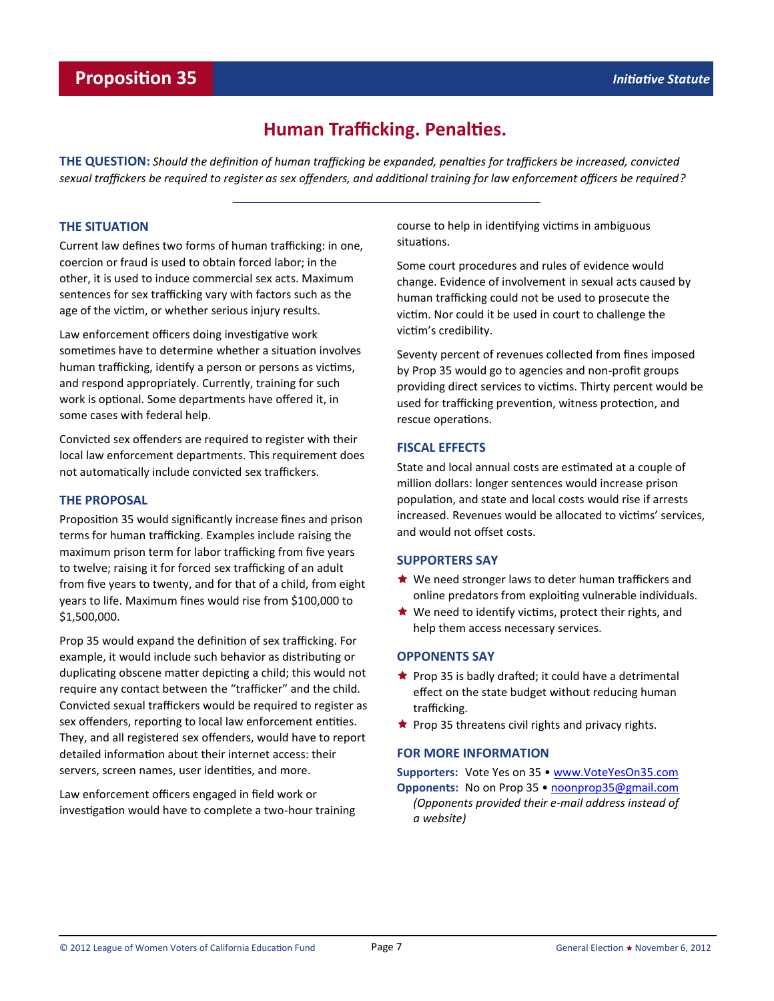# **Human Trafficking. Penalties.**

**THE QUESTION:** *Should the definition of human trafficking be expanded, penalties for traffickers be increased, convicted sexual traffickers be required to register as sex offenders, and additional training for law enforcement officers be required?* 

### **THE SITUATION**

Current law defines two forms of human trafficking: in one, coercion or fraud is used to obtain forced labor; in the other, it is used to induce commercial sex acts. Maximum sentences for sex trafficking vary with factors such as the age of the victim, or whether serious injury results.

Law enforcement officers doing investigative work sometimes have to determine whether a situation involves human trafficking, identify a person or persons as victims, and respond appropriately. Currently, training for such work is optional. Some departments have offered it, in some cases with federal help.

Convicted sex offenders are required to register with their local law enforcement departments. This requirement does not automatically include convicted sex traffickers.

### **THE PROPOSAL**

Proposition 35 would significantly increase fines and prison terms for human trafficking. Examples include raising the maximum prison term for labor trafficking from five years to twelve; raising it for forced sex trafficking of an adult from five years to twenty, and for that of a child, from eight years to life. Maximum fines would rise from \$100,000 to \$1,500,000.

Prop 35 would expand the definition of sex trafficking. For example, it would include such behavior as distributing or duplicating obscene matter depicting a child; this would not require any contact between the "trafficker" and the child. Convicted sexual traffickers would be required to register as sex offenders, reporting to local law enforcement entities. They, and all registered sex offenders, would have to report detailed information about their internet access: their servers, screen names, user identities, and more.

Law enforcement officers engaged in field work or investigation would have to complete a two-hour training course to help in identifying victims in ambiguous situations.

Some court procedures and rules of evidence would change. Evidence of involvement in sexual acts caused by human trafficking could not be used to prosecute the victim. Nor could it be used in court to challenge the victim's credibility.

Seventy percent of revenues collected from fines imposed by Prop 35 would go to agencies and non-profit groups providing direct services to victims. Thirty percent would be used for trafficking prevention, witness protection, and rescue operations.

## **FISCAL EFFECTS**

State and local annual costs are estimated at a couple of million dollars: longer sentences would increase prison population, and state and local costs would rise if arrests increased. Revenues would be allocated to victims' services, and would not offset costs.

### **SUPPORTERS SAY**

- $\bigstar$  We need stronger laws to deter human traffickers and online predators from exploiting vulnerable individuals.
- $\star$  We need to identify victims, protect their rights, and help them access necessary services.

### **OPPONENTS SAY**

*a website)*

- $\bigstar$  Prop 35 is badly drafted; it could have a detrimental effect on the state budget without reducing human trafficking.
- $\star$  Prop 35 threatens civil rights and privacy rights.

### **FOR MORE INFORMATION**

**Supporters:** Vote Yes on 35 • [www.VoteYesOn35.com](http://www.voteyeson35.com) **Opponents:** No on Prop 35 • [noonprop35@gmail.com](mailto:noonprop35@gmail.com) *(Opponents provided their e-mail address instead of*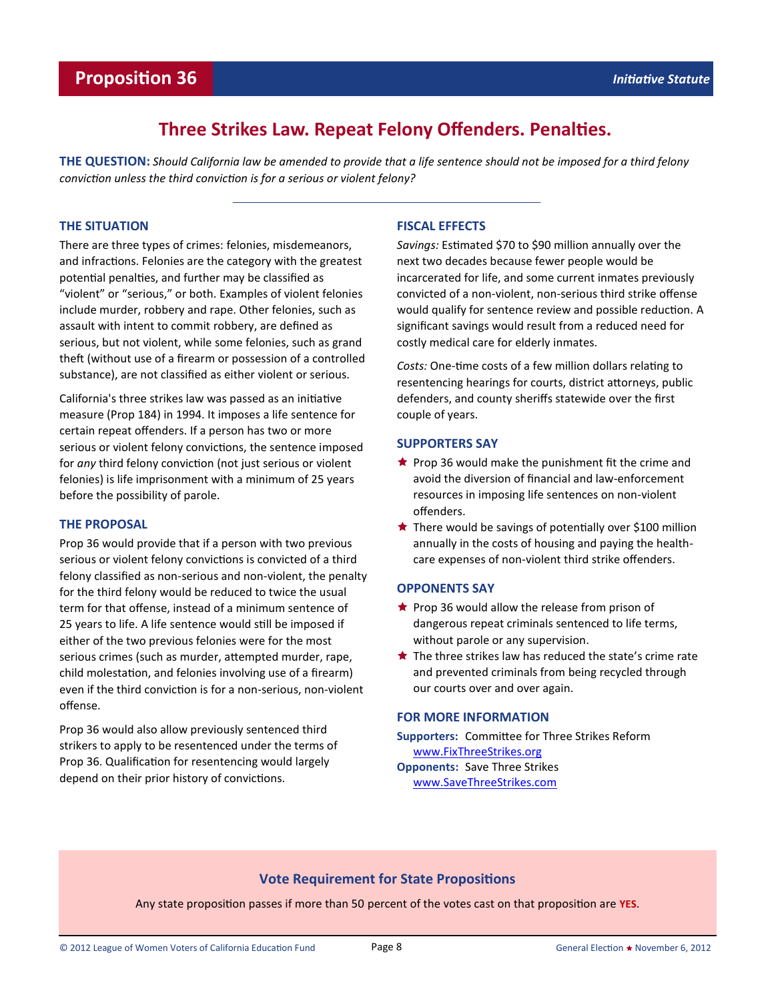# **Proposition 36** *Initiative Statute Initiative Statute*

# **Three Strikes Law. Repeat Felony Offenders. Penalties.**

**THE QUESTION:** *Should California law be amended to provide that a life sentence should not be imposed for a third felony conviction unless the third conviction is for a serious or violent felony?*

### **THE SITUATION**

There are three types of crimes: felonies, misdemeanors, and infractions. Felonies are the category with the greatest potential penalties, and further may be classified as "violent" or "serious," or both. Examples of violent felonies include murder, robbery and rape. Other felonies, such as assault with intent to commit robbery, are defined as serious, but not violent, while some felonies, such as grand theft (without use of a firearm or possession of a controlled substance), are not classified as either violent or serious.

California's three strikes law was passed as an initiative measure (Prop 184) in 1994. It imposes a life sentence for certain repeat offenders. If a person has two or more serious or violent felony convictions, the sentence imposed for *any* third felony conviction (not just serious or violent felonies) is life imprisonment with a minimum of 25 years before the possibility of parole.

### **THE PROPOSAL**

Prop 36 would provide that if a person with two previous serious or violent felony convictions is convicted of a third felony classified as non-serious and non-violent, the penalty for the third felony would be reduced to twice the usual term for that offense, instead of a minimum sentence of 25 years to life. A life sentence would still be imposed if either of the two previous felonies were for the most serious crimes (such as murder, attempted murder, rape, child molestation, and felonies involving use of a firearm) even if the third conviction is for a non-serious, non-violent offense.

Prop 36 would also allow previously sentenced third strikers to apply to be resentenced under the terms of Prop 36. Qualification for resentencing would largely depend on their prior history of convictions.

### **FISCAL EFFECTS**

*Savings:* Estimated \$70 to \$90 million annually over the next two decades because fewer people would be incarcerated for life, and some current inmates previously convicted of a non-violent, non-serious third strike offense would qualify for sentence review and possible reduction. A significant savings would result from a reduced need for costly medical care for elderly inmates.

*Costs:* One-time costs of a few million dollars relating to resentencing hearings for courts, district attorneys, public defenders, and county sheriffs statewide over the first couple of years.

### **SUPPORTERS SAY**

- $\star$  Prop 36 would make the punishment fit the crime and avoid the diversion of financial and law-enforcement resources in imposing life sentences on non-violent offenders.
- ★ There would be savings of potentially over \$100 million annually in the costs of housing and paying the healthcare expenses of non-violent third strike offenders.

### **OPPONENTS SAY**

- $\bigstar$  Prop 36 would allow the release from prison of dangerous repeat criminals sentenced to life terms, without parole or any supervision.
- $\bigstar$  The three strikes law has reduced the state's crime rate and prevented criminals from being recycled through our courts over and over again.

### **FOR MORE INFORMATION**

**Supporters:** Committee for Three Strikes Reform [www.FixThreeStrikes.org](http://www.fixthreestrikes.org)

**Opponents:** Save Three Strikes [www.SaveThreeStrikes.com](http://www.savethreestrikes.com)

### **Vote Requirement for State Propositions**

Any state proposition passes if more than 50 percent of the votes cast on that proposition are **YES**.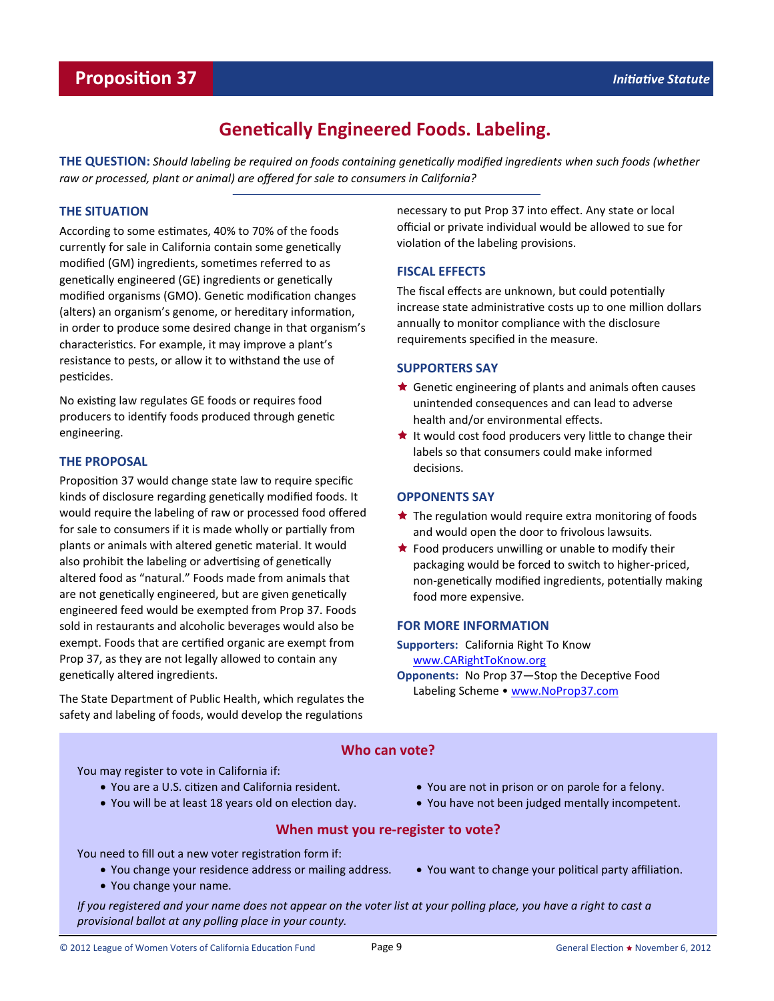# **Genetically Engineered Foods. Labeling.**

**THE QUESTION:** *Should labeling be required on foods containing genetically modified ingredients when such foods (whether raw or processed, plant or animal) are offered for sale to consumers in California?*

### **THE SITUATION**

According to some estimates, 40% to 70% of the foods currently for sale in California contain some genetically modified (GM) ingredients, sometimes referred to as genetically engineered (GE) ingredients or genetically modified organisms (GMO). Genetic modification changes (alters) an organism's genome, or hereditary information, in order to produce some desired change in that organism's characteristics. For example, it may improve a plant's resistance to pests, or allow it to withstand the use of pesticides.

No existing law regulates GE foods or requires food producers to identify foods produced through genetic engineering.

### **THE PROPOSAL**

Proposition 37 would change state law to require specific kinds of disclosure regarding genetically modified foods. It would require the labeling of raw or processed food offered for sale to consumers if it is made wholly or partially from plants or animals with altered genetic material. It would also prohibit the labeling or advertising of genetically altered food as "natural." Foods made from animals that are not genetically engineered, but are given genetically engineered feed would be exempted from Prop 37. Foods sold in restaurants and alcoholic beverages would also be exempt. Foods that are certified organic are exempt from Prop 37, as they are not legally allowed to contain any genetically altered ingredients.

The State Department of Public Health, which regulates the safety and labeling of foods, would develop the regulations

necessary to put Prop 37 into effect. Any state or local official or private individual would be allowed to sue for violation of the labeling provisions.

### **FISCAL EFFECTS**

The fiscal effects are unknown, but could potentially increase state administrative costs up to one million dollars annually to monitor compliance with the disclosure requirements specified in the measure.

### **SUPPORTERS SAY**

- $\bigstar$  Genetic engineering of plants and animals often causes unintended consequences and can lead to adverse health and/or environmental effects.
- $\star$  It would cost food producers very little to change their labels so that consumers could make informed decisions.

### **OPPONENTS SAY**

- $\star$  The regulation would require extra monitoring of foods and would open the door to frivolous lawsuits.
- $\bigstar$  Food producers unwilling or unable to modify their packaging would be forced to switch to higher-priced, non-genetically modified ingredients, potentially making food more expensive.

### **FOR MORE INFORMATION**

**Supporters:** California Right To Know [www.CARightToKnow.org](http://www.carighttoknow.org)

**Opponents:** No Prop 37—Stop the Deceptive Food Labeling Scheme • [www.NoProp37.com](http://www.noprop37.com)

# **Who can vote?**

You may register to vote in California if:

- You are a U.S. citizen and California resident.
- You will be at least 18 years old on election day.
- You are not in prison or on parole for a felony.
- You have not been judged mentally incompetent.

### **When must you re-register to vote?**

You need to fill out a new voter registration form if:

- You change your residence address or mailing address.
- You change your name.

You want to change your political party affiliation.

*If you registered and your name does not appear on the voter list at your polling place, you have a right to cast a provisional ballot at any polling place in your county.*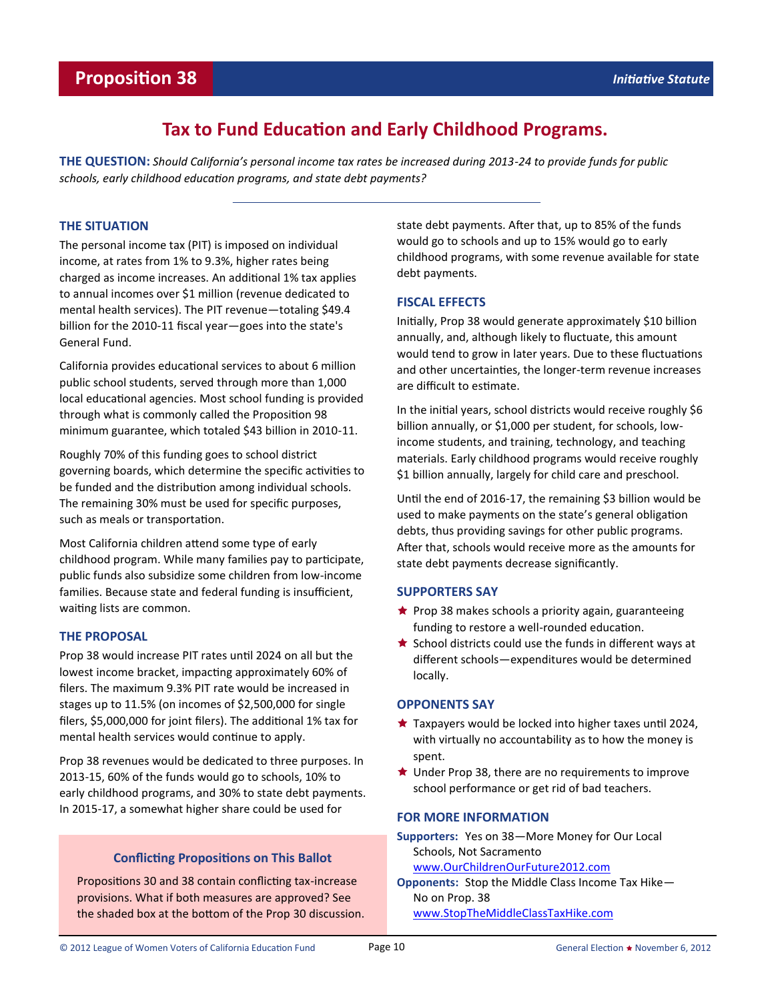# **Tax to Fund Education and Early Childhood Programs.**

**THE QUESTION:** *Should California's personal income tax rates be increased during 2013-24 to provide funds for public schools, early childhood education programs, and state debt payments?*

### **THE SITUATION**

The personal income tax (PIT) is imposed on individual income, at rates from 1% to 9.3%, higher rates being charged as income increases. An additional 1% tax applies to annual incomes over \$1 million (revenue dedicated to mental health services). The PIT revenue—totaling \$49.4 billion for the 2010-11 fiscal year—goes into the state's General Fund.

California provides educational services to about 6 million public school students, served through more than 1,000 local educational agencies. Most school funding is provided through what is commonly called the Proposition 98 minimum guarantee, which totaled \$43 billion in 2010-11.

Roughly 70% of this funding goes to school district governing boards, which determine the specific activities to be funded and the distribution among individual schools. The remaining 30% must be used for specific purposes, such as meals or transportation.

Most California children attend some type of early childhood program. While many families pay to participate, public funds also subsidize some children from low-income families. Because state and federal funding is insufficient, waiting lists are common.

### **THE PROPOSAL**

Prop 38 would increase PIT rates until 2024 on all but the lowest income bracket, impacting approximately 60% of filers. The maximum 9.3% PIT rate would be increased in stages up to 11.5% (on incomes of \$2,500,000 for single filers, \$5,000,000 for joint filers). The additional 1% tax for mental health services would continue to apply.

Prop 38 revenues would be dedicated to three purposes. In 2013-15, 60% of the funds would go to schools, 10% to early childhood programs, and 30% to state debt payments. In 2015-17, a somewhat higher share could be used for

# **Conflicting Propositions on This Ballot**

Propositions 30 and 38 contain conflicting tax-increase provisions. What if both measures are approved? See the shaded box at the bottom of the Prop 30 discussion. state debt payments. After that, up to 85% of the funds would go to schools and up to 15% would go to early childhood programs, with some revenue available for state debt payments.

## **FISCAL EFFECTS**

Initially, Prop 38 would generate approximately \$10 billion annually, and, although likely to fluctuate, this amount would tend to grow in later years. Due to these fluctuations and other uncertainties, the longer-term revenue increases are difficult to estimate.

In the initial years, school districts would receive roughly \$6 billion annually, or \$1,000 per student, for schools, lowincome students, and training, technology, and teaching materials. Early childhood programs would receive roughly \$1 billion annually, largely for child care and preschool.

Until the end of 2016-17, the remaining \$3 billion would be used to make payments on the state's general obligation debts, thus providing savings for other public programs. After that, schools would receive more as the amounts for state debt payments decrease significantly.

### **SUPPORTERS SAY**

- $\bigstar$  Prop 38 makes schools a priority again, guaranteeing funding to restore a well-rounded education.
- $\star$  School districts could use the funds in different ways at different schools—expenditures would be determined locally.

### **OPPONENTS SAY**

- $\star$  Taxpayers would be locked into higher taxes until 2024, with virtually no accountability as to how the money is spent.
- ★ Under Prop 38, there are no requirements to improve school performance or get rid of bad teachers.

### **FOR MORE INFORMATION**

**Supporters:** Yes on 38—More Money for Our Local Schools, Not Sacramento [www.OurChildrenOurFuture2012.com](http://www.ourchildrenourfuture2012.com)

**Opponents:** Stop the Middle Class Income Tax Hike— No on Prop. 38 [www.StopTheMiddleClassTaxHike.com](http://www.stopthemiddleclasstaxhike.com)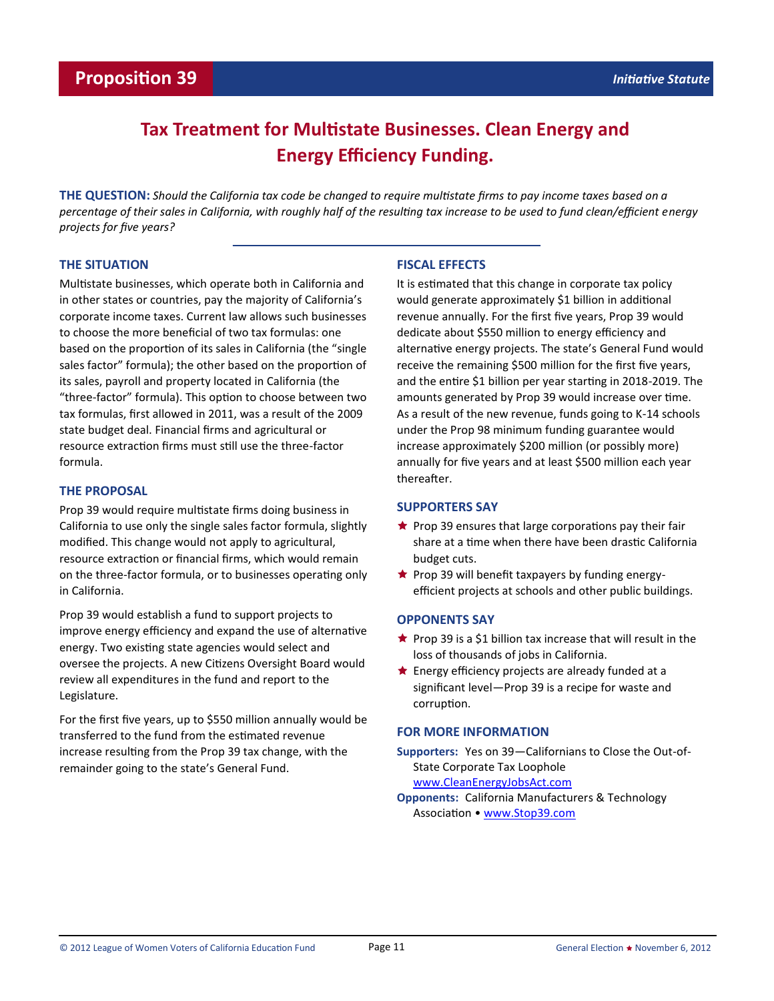# **Tax Treatment for Multistate Businesses. Clean Energy and Energy Efficiency Funding.**

**THE QUESTION:** *Should the California tax code be changed to require multistate firms to pay income taxes based on a percentage of their sales in California, with roughly half of the resulting tax increase to be used to fund clean/efficient energy projects for five years?* 

## **THE SITUATION**

Multistate businesses, which operate both in California and in other states or countries, pay the majority of California's corporate income taxes. Current law allows such businesses to choose the more beneficial of two tax formulas: one based on the proportion of its sales in California (the "single sales factor" formula); the other based on the proportion of its sales, payroll and property located in California (the "three-factor" formula). This option to choose between two tax formulas, first allowed in 2011, was a result of the 2009 state budget deal. Financial firms and agricultural or resource extraction firms must still use the three-factor formula.

### **THE PROPOSAL**

Prop 39 would require multistate firms doing business in California to use only the single sales factor formula, slightly modified. This change would not apply to agricultural, resource extraction or financial firms, which would remain on the three-factor formula, or to businesses operating only in California.

Prop 39 would establish a fund to support projects to improve energy efficiency and expand the use of alternative energy. Two existing state agencies would select and oversee the projects. A new Citizens Oversight Board would review all expenditures in the fund and report to the Legislature.

For the first five years, up to \$550 million annually would be transferred to the fund from the estimated revenue increase resulting from the Prop 39 tax change, with the remainder going to the state's General Fund.

### **FISCAL EFFECTS**

It is estimated that this change in corporate tax policy would generate approximately \$1 billion in additional revenue annually. For the first five years, Prop 39 would dedicate about \$550 million to energy efficiency and alternative energy projects. The state's General Fund would receive the remaining \$500 million for the first five years, and the entire \$1 billion per year starting in 2018-2019. The amounts generated by Prop 39 would increase over time. As a result of the new revenue, funds going to K-14 schools under the Prop 98 minimum funding guarantee would increase approximately \$200 million (or possibly more) annually for five years and at least \$500 million each year thereafter.

### **SUPPORTERS SAY**

- $\bigstar$  Prop 39 ensures that large corporations pay their fair share at a time when there have been drastic California budget cuts.
- $\bigstar$  Prop 39 will benefit taxpayers by funding energyefficient projects at schools and other public buildings.

### **OPPONENTS SAY**

- $\star$  Prop 39 is a \$1 billion tax increase that will result in the loss of thousands of jobs in California.
- $\bigstar$  Energy efficiency projects are already funded at a significant level—Prop 39 is a recipe for waste and corruption.

### **FOR MORE INFORMATION**

**Supporters:** Yes on 39—Californians to Close the Out-of-State Corporate Tax Loophole [www.CleanEnergyJobsAct.com](http://www.cleanenergyjobsact.com)

**Opponents:** California Manufacturers & Technology Association • [www.Stop39.com](http://www.stop39.com)